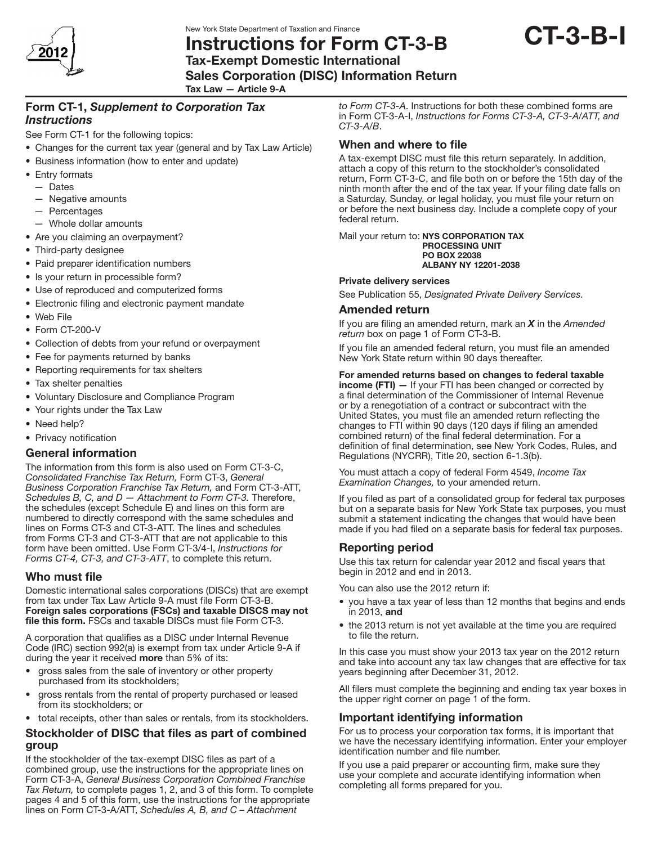New York State Department of Taxation and Finance

201

## Instructions for Form CT-3-B Tax-Exempt Domestic International



Sales Corporation (DISC) Information Return

Tax Law — Article 9-A

## Form CT-1, *Supplement to Corporation Tax Instructions*

See Form CT-1 for the following topics:

- Changes for the current tax year (general and by Tax Law Article)
- Business information (how to enter and update)
- Entry formats
	- Dates
	- — Negative amounts
	- Percentages
- $-$  Whole dollar amounts
- Are you claiming an overpayment?
- Third-party designee
- Paid preparer identification numbers
- Is your return in processible form?
- Use of reproduced and computerized forms
- Electronic filing and electronic payment mandate
- • Web File
- Form CT-200-V
- Collection of debts from your refund or overpayment
- Fee for payments returned by banks
- Reporting requirements for tax shelters
- Tax shelter penalties
- • Voluntary Disclosure and Compliance Program
- Your rights under the Tax Law
- Need help?
- Privacy notification

### General information

The information from this form is also used on Form CT-3-C, *Consolidated Franchise Tax Return,* Form CT-3, *General Business Corporation Franchise Tax Return,* and Form CT-3-ATT, *Schedules B, C, and D — Attachment to Form CT-3.* Therefore, the schedules (except Schedule E) and lines on this form are numbered to directly correspond with the same schedules and lines on Forms CT-3 and CT-3-ATT. The lines and schedules from Forms CT-3 and CT-3-ATT that are not applicable to this form have been omitted. Use Form CT-3/4-I, *Instructions for Forms CT-4, CT-3, and CT-3-ATT*, to complete this return.

## Who must file

Domestic international sales corporations (DISCs) that are exempt from tax under Tax Law Article 9-A must file Form CT-3-B. Foreign sales corporations (FSCs) and taxable DISCS may not file this form. FSCs and taxable DISCs must file Form CT-3.

A corporation that qualifies as a DISC under Internal Revenue Code (IRC) section 992(a) is exempt from tax under Article 9-A if during the year it received more than 5% of its:

- gross sales from the sale of inventory or other property purchased from its stockholders;
- gross rentals from the rental of property purchased or leased from its stockholders; or
- total receipts, other than sales or rentals, from its stockholders.

### Stockholder of DISC that files as part of combined group

If the stockholder of the tax-exempt DISC files as part of a combined group, use the instructions for the appropriate lines on Form CT‑3‑A, *General Business Corporation Combined Franchise Tax Return,* to complete pages 1, 2, and 3 of this form. To complete pages 4 and 5 of this form, use the instructions for the appropriate lines on Form CT‑3‑A/ATT, *Schedules A, B, and C – Attachment* 

*to Form CT-3-A*. Instructions for both these combined forms are in Form CT‑3‑A‑I, *Instructions for Forms CT-3-A, CT-3-A/ATT, and CT-3-A/B*.

# When and where to file

A tax-exempt DISC must file this return separately. In addition, attach a copy of this return to the stockholder's consolidated return, Form CT-3-C, and file both on or before the 15th day of the ninth month after the end of the tax year. If your filing date falls on a Saturday, Sunday, or legal holiday, you must file your return on or before the next business day. Include a complete copy of your federal return.

Mail your return to: NYS CORPORATION TAX PROCESSING UNIT PO BOX 22038 ALBANY NY 12201-2038

### Private delivery services

See Publication 55, *Designated Private Delivery Services.*

### Amended return

If you are filing an amended return, mark an *X* in the *Amended return* box on page 1 of Form CT-3-B.

If you file an amended federal return, you must file an amended New York State return within 90 days thereafter.

#### For amended returns based on changes to federal taxable

income (FTI) - If your FTI has been changed or corrected by a final determination of the Commissioner of Internal Revenue or by a renegotiation of a contract or subcontract with the United States, you must file an amended return reflecting the changes to FTI within 90 days (120 days if filing an amended combined return) of the final federal determination. For a definition of final determination, see New York Codes, Rules, and Regulations (NYCRR), Title 20, section 6-1.3(b).

You must attach a copy of federal Form 4549, *Income Tax Examination Changes,* to your amended return.

If you filed as part of a consolidated group for federal tax purposes but on a separate basis for New York State tax purposes, you must submit a statement indicating the changes that would have been made if you had filed on a separate basis for federal tax purposes.

## Reporting period

Use this tax return for calendar year 2012 and fiscal years that begin in 2012 and end in 2013.

You can also use the 2012 return if:

- you have a tax year of less than 12 months that begins and ends in 2013, and
- the 2013 return is not yet available at the time you are required to file the return.

In this case you must show your 2013 tax year on the 2012 return and take into account any tax law changes that are effective for tax years beginning after December 31, 2012.

All filers must complete the beginning and ending tax year boxes in the upper right corner on page 1 of the form.

## Important identifying information

For us to process your corporation tax forms, it is important that we have the necessary identifying information. Enter your employer identification number and file number.

If you use a paid preparer or accounting firm, make sure they use your complete and accurate identifying information when completing all forms prepared for you.